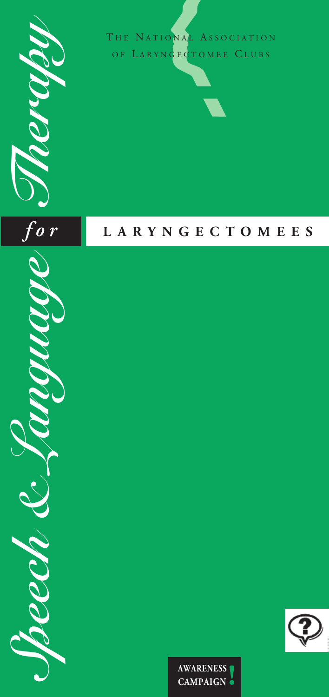

 $\frac{r_{o}}{r}$ 

THE NATIONAL ASSOCIATION OF LARYNGECTOMEE CLUBS

## **L A R Y N G E C T O M E E S**

*Speech & Language Therapy f o r* **CANAD COM** 



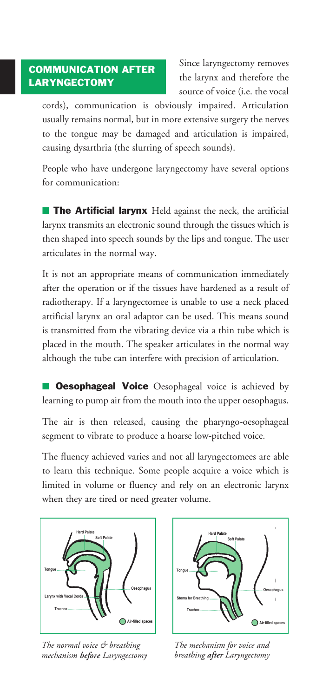## **COMMUNICATION AFTER LARYNGECTOMY**

Since laryngectomy removes the larynx and therefore the source of voice (i.e. the vocal

cords), communication is obviously impaired. Articulation usually remains normal, but in more extensive surgery the nerves to the tongue may be damaged and articulation is impaired, causing dysarthria (the slurring of speech sounds).

People who have undergone laryngectomy have several options for communication:

**■ The Artificial larynx** Held against the neck, the artificial larynx transmits an electronic sound through the tissues which is then shaped into speech sounds by the lips and tongue. The user articulates in the normal way.

It is not an appropriate means of communication immediately after the operation or if the tissues have hardened as a result of radiotherapy. If a laryngectomee is unable to use a neck placed artificial larynx an oral adaptor can be used. This means sound is transmitted from the vibrating device via a thin tube which is placed in the mouth. The speaker articulates in the normal way although the tube can interfere with precision of articulation.

**■ Oesophageal Voice** Oesophageal voice is achieved by learning to pump air from the mouth into the upper oesophagus.

The air is then released, causing the pharyngo-oesophageal segment to vibrate to produce a hoarse low-pitched voice.

The fluency achieved varies and not all laryngectomees are able to learn this technique. Some people acquire a voice which is limited in volume or fluency and rely on an electronic larynx when they are tired or need greater volume.



*The normal voice & breathing mechanism before Laryngectomy*



*The mechanism for voice and breathing after Laryngectomy*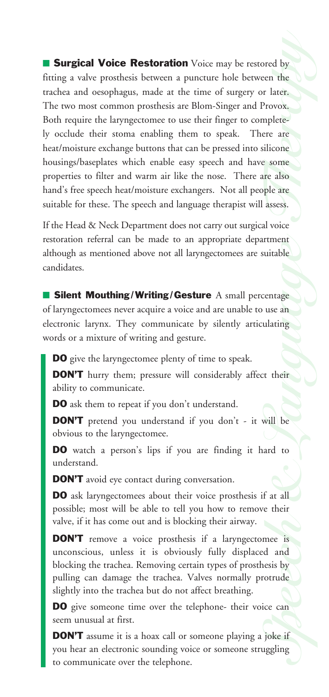*Therap*<br> *Therap*<br> *Therap*<br> *Therap*<br> *Therap*<br> *Therap*<br> *Therap*<br> *Therap*<br> *Therap*<br> *Therap*<br> *Therap*<br> *Therap*<br> *Therap*<br> *Therap*<br> *Therap*<br> *Therap*<br> *Therap*<br> *Therap*<br> *Therap* ■ **Surgical Voice Restoration** Voice may be restored by fitting a valve prosthesis between a puncture hole between the trachea and oesophagus, made at the time of surgery or later. The two most common prosthesis are Blom-Singer and Provox. Both require the laryngectomee to use their finger to completely occlude their stoma enabling them to speak. There are heat/moisture exchange buttons that can be pressed into silicone housings/baseplates which enable easy speech and have some properties to filter and warm air like the nose. There are also hand's free speech heat/moisture exchangers. Not all people are suitable for these. The speech and language therapist will assess.

If the Head & Neck Department does not carry out surgical voice restoration referral can be made to an appropriate department although as mentioned above not all laryngectomees are suitable candidates.

Filment<br>
Language<br>
Language<br>
Language<br>
Language<br>
Language<br>
Language<br>
Language<br>
Language<br>
Language<br>
Language<br>
Language<br>
Language<br>
Language<br>
Language<br>
Language<br>
Language<br>
Language<br>
Language<br>
Language<br>
Language<br>
Language<br>
Lan ■ **Silent Mouthing/Writing/Gesture** A small percentage of laryngectomees never acquire a voice and are unable to use an electronic larynx. They communicate by silently articulating words or a mixture of writing and gesture.

**DO** give the laryngectomee plenty of time to speak.

**DON'T** hurry them; pressure will considerably affect their ability to communicate.

**DO** ask them to repeat if you don't understand.

**DON'T** pretend you understand if you don't - it will be obvious to the laryngectomee.

**DO** watch a person's lips if you are finding it hard to understand.

**DON'T** avoid eye contact during conversation.

**DON'T** avoid eye contact during conversation.<br>**DO** ask laryngectomees about their voice prosthesis if at all possible; most will be able to tell you how to remove their valve, if it has come out and is blocking their airway.

mee is<br>**d** and<br>nesis by<br>fortude<br>ice can<br>joke if<br>uggling **DON'T** remove a voice prosthesis if a laryngectomee is unconscious, unless it is obviously fully displaced and blocking the trachea. Removing certain types of prosthesis by pulling can damage the trachea. Valves normally protrude slightly into the trachea but do not affect breathing.

**DO** give someone time over the telephone- their voice can seem unusual at first.

**DON'T** assume it is a hoax call or someone playing a joke if you hear an electronic sounding voice or someone struggling to communicate over the telephone.